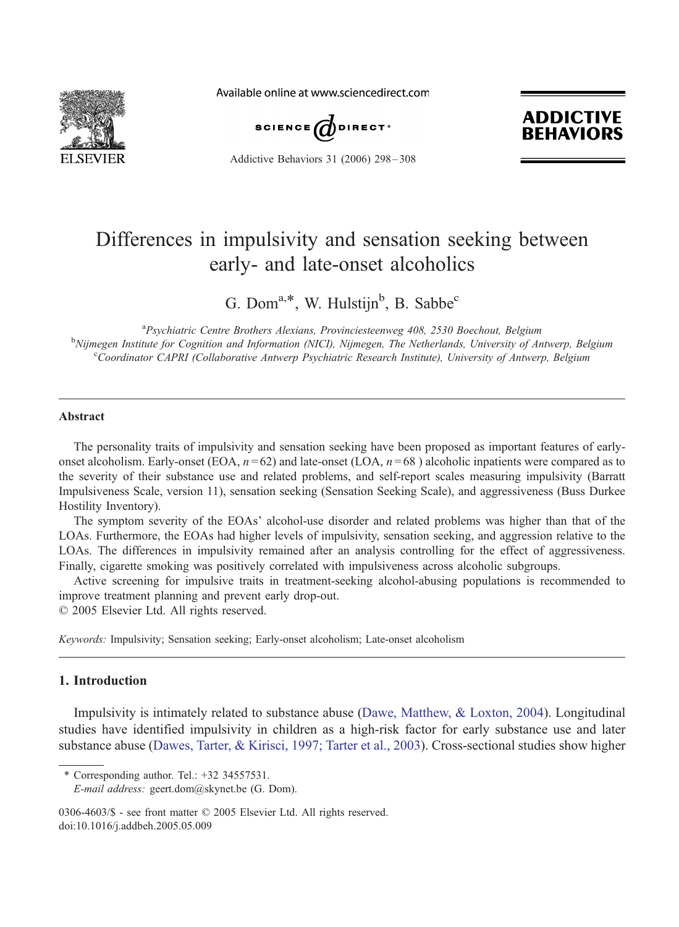

Available online at www.sciencedirect.com



Addictive Behaviors 31 (2006) 298 – 308

# **ADDICTIVE EHAVIC**

# Differences in impulsivity and sensation seeking between early- and late-onset alcoholics

G. Dom<sup>a,\*</sup>, W. Hulstijn<sup>b</sup>, B. Sabbe<sup>c</sup>

<sup>a</sup> Psychiatric Centre Brothers Alexians, Provinciesteenweg 408, 2530 Boechout, Belgium<br><sup>b</sup> Niimegan Institute for Cognition and Information (NICI), Niimegan, The Netherlands, University of Ar <sup>b</sup>Nijmegen Institute for Cognition and Information (NICI), Nijmegen, The Netherlands, University of Antwerp, Belgium <sup>c</sup>Coordinator CAPRI (Collaborative Antwerp Psychiatric Research Institute), University of Antwerp, Belgium

#### Abstract

The personality traits of impulsivity and sensation seeking have been proposed as important features of earlyonset alcoholism. Early-onset (EOA,  $n = 62$ ) and late-onset (LOA,  $n = 68$ ) alcoholic inpatients were compared as to the severity of their substance use and related problems, and self-report scales measuring impulsivity (Barratt Impulsiveness Scale, version 11), sensation seeking (Sensation Seeking Scale), and aggressiveness (Buss Durkee Hostility Inventory).

The symptom severity of the EOAs' alcohol-use disorder and related problems was higher than that of the LOAs. Furthermore, the EOAs had higher levels of impulsivity, sensation seeking, and aggression relative to the LOAs. The differences in impulsivity remained after an analysis controlling for the effect of aggressiveness. Finally, cigarette smoking was positively correlated with impulsiveness across alcoholic subgroups.

Active screening for impulsive traits in treatment-seeking alcohol-abusing populations is recommended to improve treatment planning and prevent early drop-out.

 $© 2005 Elsevier Ltd. All rights reserved.$ 

Keywords: Impulsivity; Sensation seeking; Early-onset alcoholism; Late-onset alcoholism

## 1. Introduction

Impulsivity is intimately related to substance abuse ([Dawe, Matthew, & Loxton, 2004\)](#page--1-0). Longitudinal studies have identified impulsivity in children as a high-risk factor for early substance use and later substance abuse ([Dawes, Tarter, & Kirisci, 1997; Tarter et al., 2003\)](#page--1-0). Cross-sectional studies show higher

 $*$  Corresponding author. Tel.:  $+32$  34557531.

E-mail address: geert.dom@skynet.be (G. Dom).

0306-4603/\$ - see front matter © 2005 Elsevier Ltd. All rights reserved. doi:10.1016/j.addbeh.2005.05.009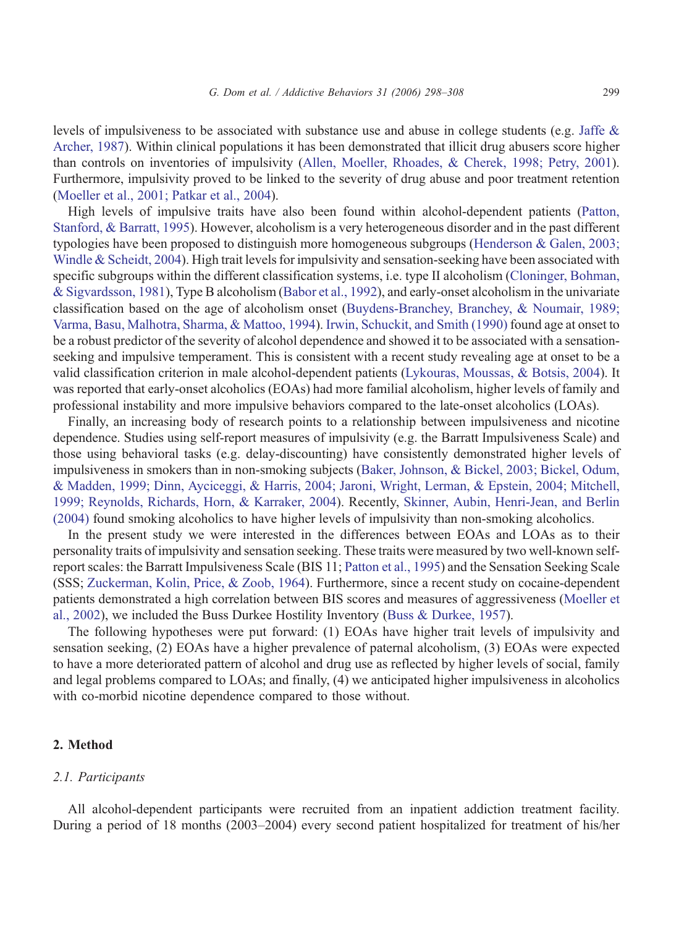levels of impulsiveness to be associated with substance use and abuse in college students (e.g. [Jaffe &](#page--1-0) Archer, 1987). Within clinical populations it has been demonstrated that illicit drug abusers score higher than controls on inventories of impulsivity ([Allen, Moeller, Rhoades, & Cherek, 1998; Petry, 2001\)](#page--1-0). Furthermore, impulsivity proved to be linked to the severity of drug abuse and poor treatment retention [\(Moeller et al., 2001; Patkar et al., 2004\)](#page--1-0).

High levels of impulsive traits have also been found within alcohol-dependent patients ([Patton,](#page--1-0) Stanford, & Barratt, 1995). However, alcoholism is a very heterogeneous disorder and in the past different typologies have been proposed to distinguish more homogeneous subgroups ([Henderson & Galen, 2003;](#page--1-0) Windle & Scheidt, 2004). High trait levels for impulsivity and sensation-seeking have been associated with specific subgroups within the different classification systems, i.e. type II alcoholism ([Cloninger, Bohman,](#page--1-0) & Sigvardsson, 1981), Type B alcoholism ([Babor et al., 1992\)](#page--1-0), and early-onset alcoholism in the univariate classification based on the age of alcoholism onset ([Buydens-Branchey, Branchey, & Noumair, 1989;](#page--1-0) Varma, Basu, Malhotra, Sharma, & Mattoo, 1994). [Irwin, Schuckit, and Smith \(1990\)](#page--1-0) found age at onset to be a robust predictor of the severity of alcohol dependence and showed it to be associated with a sensationseeking and impulsive temperament. This is consistent with a recent study revealing age at onset to be a valid classification criterion in male alcohol-dependent patients ([Lykouras, Moussas, & Botsis, 2004\)](#page--1-0). It was reported that early-onset alcoholics (EOAs) had more familial alcoholism, higher levels of family and professional instability and more impulsive behaviors compared to the late-onset alcoholics (LOAs).

Finally, an increasing body of research points to a relationship between impulsiveness and nicotine dependence. Studies using self-report measures of impulsivity (e.g. the Barratt Impulsiveness Scale) and those using behavioral tasks (e.g. delay-discounting) have consistently demonstrated higher levels of impulsiveness in smokers than in non-smoking subjects ([Baker, Johnson, & Bickel, 2003; Bickel, Odum,](#page--1-0) & Madden, 1999; Dinn, Ayciceggi, & Harris, 2004; Jaroni, Wright, Lerman, & Epstein, 2004; Mitchell, 1999; Reynolds, Richards, Horn, & Karraker, 2004). Recently, [Skinner, Aubin, Henri-Jean, and Berlin](#page--1-0) (2004) found smoking alcoholics to have higher levels of impulsivity than non-smoking alcoholics.

In the present study we were interested in the differences between EOAs and LOAs as to their personality traits of impulsivity and sensation seeking. These traits were measured by two well-known selfreport scales: the Barratt Impulsiveness Scale (BIS 11; [Patton et al., 1995\)](#page--1-0) and the Sensation Seeking Scale (SSS; [Zuckerman, Kolin, Price, & Zoob, 1964\)](#page--1-0). Furthermore, since a recent study on cocaine-dependent patients demonstrated a high correlation between BIS scores and measures of aggressiveness ([Moeller et](#page--1-0) al., 2002), we included the Buss Durkee Hostility Inventory ([Buss & Durkee, 1957\)](#page--1-0).

The following hypotheses were put forward: (1) EOAs have higher trait levels of impulsivity and sensation seeking, (2) EOAs have a higher prevalence of paternal alcoholism, (3) EOAs were expected to have a more deteriorated pattern of alcohol and drug use as reflected by higher levels of social, family and legal problems compared to LOAs; and finally, (4) we anticipated higher impulsiveness in alcoholics with co-morbid nicotine dependence compared to those without.

### 2. Method

### 2.1. Participants

All alcohol-dependent participants were recruited from an inpatient addiction treatment facility. During a period of 18 months (2003–2004) every second patient hospitalized for treatment of his/her